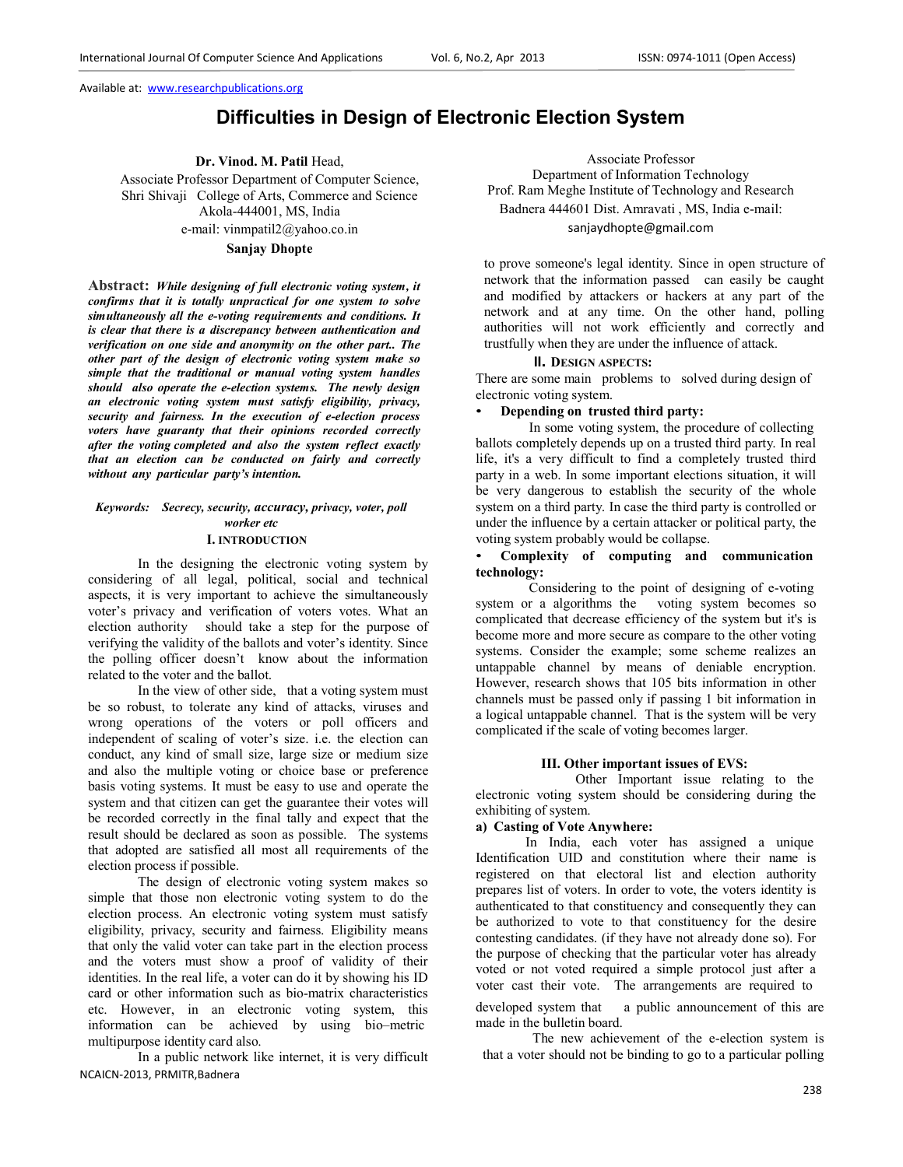# **Difficulties in Design of Electronic Election System**

**Dr. Vinod. M. Patil** Head,

Associate Professor Department of Computer Science, Shri Shivaji College of Arts, Commerce and Science Akola-444001, MS, India e-mail: vinmpatil2@yahoo.co.in

## **Sanjay Dhopte**

**Abstract:** *While designing of full electronic voting system, it confirms that it is totally unpractical for one system to solve simultaneously all the e-voting requirements and conditions. It is clear that there is a discrepancy between authentication and verification on one side and anonymity on the other part.. The other part of the design of electronic voting system make so simple that the traditional or manual voting system handles should also operate the e-election systems. The newly design an electronic voting system must satisfy eligibility, privacy, security and fairness. In the execution of e-election process voters have guaranty that their opinions recorded correctly after the voting completed and also the system reflect exactly that an election can be conducted on fairly and correctly without any particular party's intention.* 

## *Keywords: Secrecy, security, accuracy, privacy, voter, poll worker etc*

## **I. INTRODUCTION**

In the designing the electronic voting system by considering of all legal, political, social and technical aspects, it is very important to achieve the simultaneously voter's privacy and verification of voters votes. What an election authority should take a step for the purpose of verifying the validity of the ballots and voter's identity. Since the polling officer doesn't know about the information related to the voter and the ballot.

In the view of other side, that a voting system must be so robust, to tolerate any kind of attacks, viruses and wrong operations of the voters or poll officers and independent of scaling of voter's size. i.e. the election can conduct, any kind of small size, large size or medium size and also the multiple voting or choice base or preference basis voting systems. It must be easy to use and operate the system and that citizen can get the guarantee their votes will be recorded correctly in the final tally and expect that the result should be declared as soon as possible. The systems that adopted are satisfied all most all requirements of the election process if possible.

The design of electronic voting system makes so simple that those non electronic voting system to do the election process. An electronic voting system must satisfy eligibility, privacy, security and fairness. Eligibility means that only the valid voter can take part in the election process and the voters must show a proof of validity of their identities. In the real life, a voter can do it by showing his ID card or other information such as bio-matrix characteristics etc. However, in an electronic voting system, this information can be achieved by using bio–metric multipurpose identity card also.

NCAICN-2013, PRMITR,Badnera In a public network like internet, it is very difficult

Associate Professor Department of Information Technology Prof. Ram Meghe Institute of Technology and Research Badnera 444601 Dist. Amravati , MS, India e-mail: sanjaydhopte@gmail.com

to prove someone's legal identity. Since in open structure of network that the information passed can easily be caught and modified by attackers or hackers at any part of the network and at any time. On the other hand, polling authorities will not work efficiently and correctly and trustfully when they are under the influence of attack.

#### **II. DESIGN ASPECTS:**

There are some main problems to solved during design of electronic voting system.

### • **Depending on trusted third party:**

In some voting system, the procedure of collecting ballots completely depends up on a trusted third party. In real life, it's a very difficult to find a completely trusted third party in a web. In some important elections situation, it will be very dangerous to establish the security of the whole system on a third party. In case the third party is controlled or under the influence by a certain attacker or political party, the voting system probably would be collapse.

#### • **Complexity of computing and communication technology:**

Considering to the point of designing of e-voting system or a algorithms the voting system becomes so complicated that decrease efficiency of the system but it's is become more and more secure as compare to the other voting systems. Consider the example; some scheme realizes an untappable channel by means of deniable encryption. However, research shows that 105 bits information in other channels must be passed only if passing 1 bit information in a logical untappable channel. That is the system will be very complicated if the scale of voting becomes larger.

### **III. Other important issues of EVS:**

Other Important issue relating to the electronic voting system should be considering during the exhibiting of system.

## **a) Casting of Vote Anywhere:**

In India, each voter has assigned a unique Identification UID and constitution where their name is registered on that electoral list and election authority prepares list of voters. In order to vote, the voters identity is authenticated to that constituency and consequently they can be authorized to vote to that constituency for the desire contesting candidates. (if they have not already done so). For the purpose of checking that the particular voter has already voted or not voted required a simple protocol just after a voter cast their vote. The arrangements are required to developed system that a public announcement of this are made in the bulletin board.

The new achievement of the e-election system is that a voter should not be binding to go to a particular polling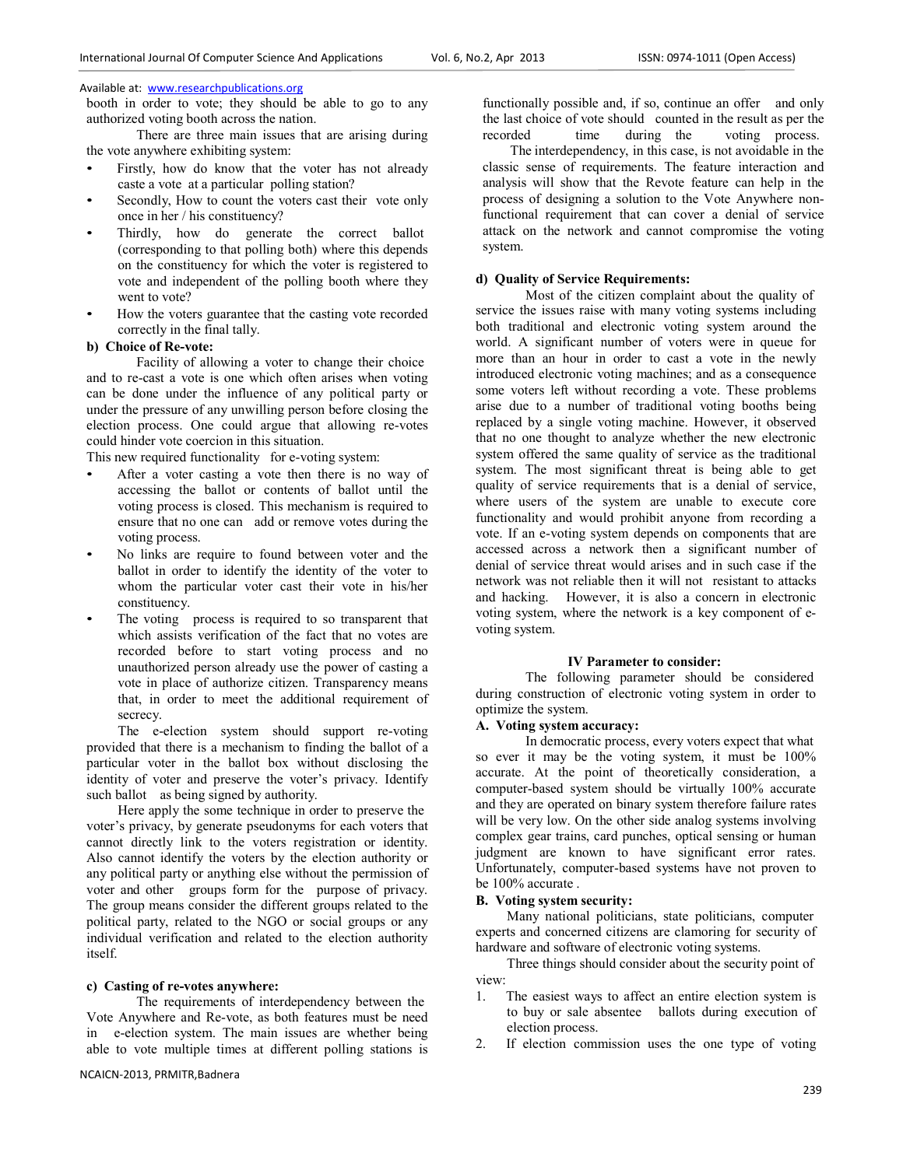booth in order to vote; they should be able to go to any authorized voting booth across the nation.

There are three main issues that are arising during the vote anywhere exhibiting system:

- Firstly, how do know that the voter has not already caste a vote at a particular polling station?
- Secondly, How to count the voters cast their vote only once in her / his constituency?
- Thirdly, how do generate the correct ballot (corresponding to that polling both) where this depends on the constituency for which the voter is registered to vote and independent of the polling booth where they went to vote?
- How the voters guarantee that the casting vote recorded correctly in the final tally.

#### **b) Choice of Re-vote:**

Facility of allowing a voter to change their choice and to re-cast a vote is one which often arises when voting can be done under the influence of any political party or under the pressure of any unwilling person before closing the election process. One could argue that allowing re-votes could hinder vote coercion in this situation.

This new required functionality for e-voting system:

- After a voter casting a vote then there is no way of accessing the ballot or contents of ballot until the voting process is closed. This mechanism is required to ensure that no one can add or remove votes during the voting process.
- No links are require to found between voter and the ballot in order to identify the identity of the voter to whom the particular voter cast their vote in his/her constituency.
- The voting process is required to so transparent that which assists verification of the fact that no votes are recorded before to start voting process and no unauthorized person already use the power of casting a vote in place of authorize citizen. Transparency means that, in order to meet the additional requirement of secrecy.

The e-election system should support re-voting provided that there is a mechanism to finding the ballot of a particular voter in the ballot box without disclosing the identity of voter and preserve the voter's privacy. Identify such ballot as being signed by authority.

Here apply the some technique in order to preserve the voter's privacy, by generate pseudonyms for each voters that cannot directly link to the voters registration or identity. Also cannot identify the voters by the election authority or any political party or anything else without the permission of voter and other groups form for the purpose of privacy. The group means consider the different groups related to the political party, related to the NGO or social groups or any individual verification and related to the election authority itself.

## **c) Casting of re-votes anywhere:**

The requirements of interdependency between the Vote Anywhere and Re-vote, as both features must be need in e-election system. The main issues are whether being able to vote multiple times at different polling stations is

functionally possible and, if so, continue an offer and only the last choice of vote should counted in the result as per the recorded time during the voting process.

 The interdependency, in this case, is not avoidable in the classic sense of requirements. The feature interaction and analysis will show that the Revote feature can help in the process of designing a solution to the Vote Anywhere nonfunctional requirement that can cover a denial of service attack on the network and cannot compromise the voting system.

### **d) Quality of Service Requirements:**

Most of the citizen complaint about the quality of service the issues raise with many voting systems including both traditional and electronic voting system around the world. A significant number of voters were in queue for more than an hour in order to cast a vote in the newly introduced electronic voting machines; and as a consequence some voters left without recording a vote. These problems arise due to a number of traditional voting booths being replaced by a single voting machine. However, it observed that no one thought to analyze whether the new electronic system offered the same quality of service as the traditional system. The most significant threat is being able to get quality of service requirements that is a denial of service, where users of the system are unable to execute core functionality and would prohibit anyone from recording a vote. If an e-voting system depends on components that are accessed across a network then a significant number of denial of service threat would arises and in such case if the network was not reliable then it will not resistant to attacks and hacking. However, it is also a concern in electronic voting system, where the network is a key component of evoting system.

#### **IV Parameter to consider:**

The following parameter should be considered during construction of electronic voting system in order to optimize the system.

## **A. Voting system accuracy:**

In democratic process, every voters expect that what so ever it may be the voting system, it must be 100% accurate. At the point of theoretically consideration, a computer-based system should be virtually 100% accurate and they are operated on binary system therefore failure rates will be very low. On the other side analog systems involving complex gear trains, card punches, optical sensing or human judgment are known to have significant error rates. Unfortunately, computer-based systems have not proven to be 100% accurate .

#### **B. Voting system security:**

Many national politicians, state politicians, computer experts and concerned citizens are clamoring for security of hardware and software of electronic voting systems.

Three things should consider about the security point of view:

- 1. The easiest ways to affect an entire election system is to buy or sale absentee ballots during execution of election process.
- 2. If election commission uses the one type of voting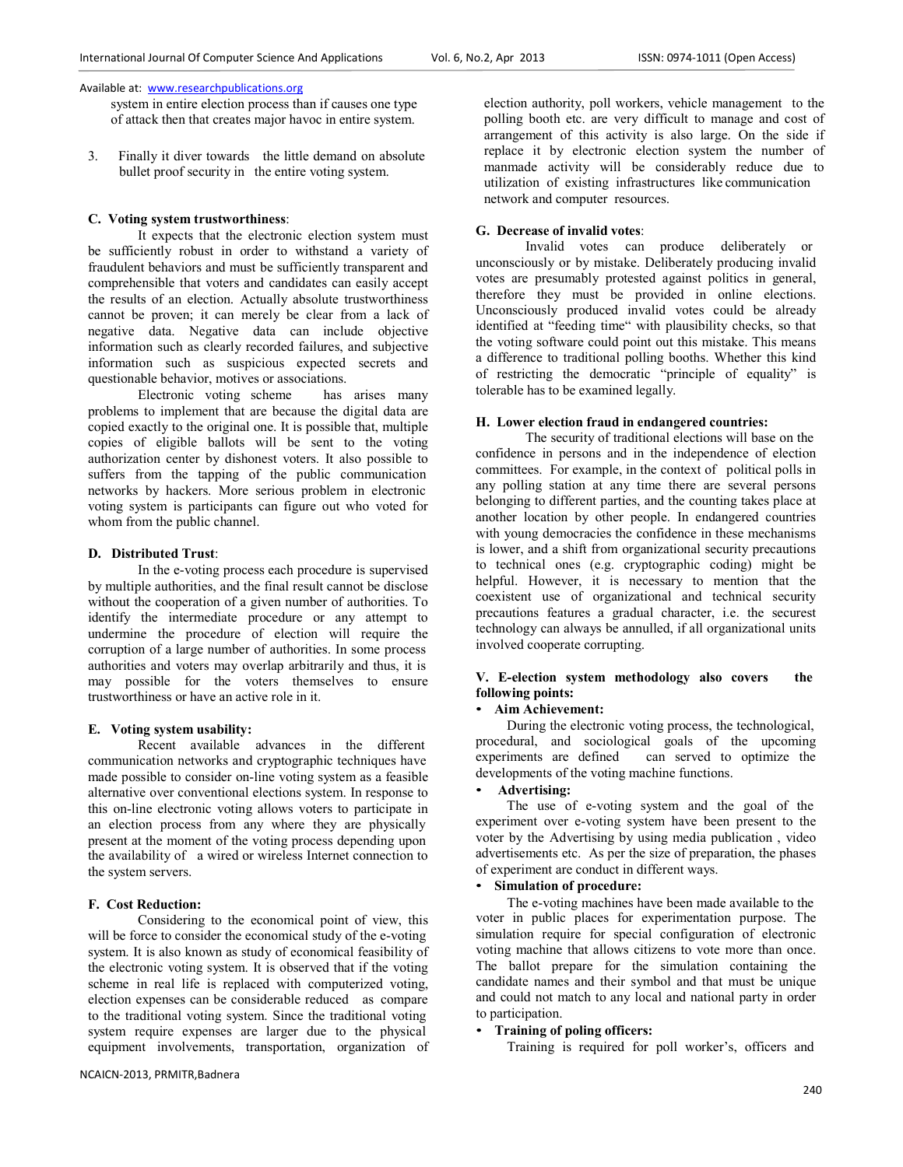system in entire election process than if causes one type of attack then that creates major havoc in entire system.

3. Finally it diver towards the little demand on absolute bullet proof security in the entire voting system.

### **C. Voting system trustworthiness**:

It expects that the electronic election system must be sufficiently robust in order to withstand a variety of fraudulent behaviors and must be sufficiently transparent and comprehensible that voters and candidates can easily accept the results of an election. Actually absolute trustworthiness cannot be proven; it can merely be clear from a lack of negative data. Negative data can include objective information such as clearly recorded failures, and subjective information such as suspicious expected secrets and questionable behavior, motives or associations.

Electronic voting scheme has arises many problems to implement that are because the digital data are copied exactly to the original one. It is possible that, multiple copies of eligible ballots will be sent to the voting authorization center by dishonest voters. It also possible to suffers from the tapping of the public communication networks by hackers. More serious problem in electronic voting system is participants can figure out who voted for whom from the public channel.

#### **D. Distributed Trust**:

In the e-voting process each procedure is supervised by multiple authorities, and the final result cannot be disclose without the cooperation of a given number of authorities. To identify the intermediate procedure or any attempt to undermine the procedure of election will require the corruption of a large number of authorities. In some process authorities and voters may overlap arbitrarily and thus, it is may possible for the voters themselves to ensure trustworthiness or have an active role in it.

## **E. Voting system usability:**

Recent available advances in the different communication networks and cryptographic techniques have made possible to consider on-line voting system as a feasible alternative over conventional elections system. In response to this on-line electronic voting allows voters to participate in an election process from any where they are physically present at the moment of the voting process depending upon the availability of a wired or wireless Internet connection to the system servers.

## **F. Cost Reduction:**

Considering to the economical point of view, this will be force to consider the economical study of the e-voting system. It is also known as study of economical feasibility of the electronic voting system. It is observed that if the voting scheme in real life is replaced with computerized voting, election expenses can be considerable reduced as compare to the traditional voting system. Since the traditional voting system require expenses are larger due to the physical equipment involvements, transportation, organization of election authority, poll workers, vehicle management to the polling booth etc. are very difficult to manage and cost of arrangement of this activity is also large. On the side if replace it by electronic election system the number of manmade activity will be considerably reduce due to utilization of existing infrastructures like communication network and computer resources.

#### **G. Decrease of invalid votes**:

Invalid votes can produce deliberately or unconsciously or by mistake. Deliberately producing invalid votes are presumably protested against politics in general, therefore they must be provided in online elections. Unconsciously produced invalid votes could be already identified at "feeding time" with plausibility checks, so that the voting software could point out this mistake. This means a difference to traditional polling booths. Whether this kind of restricting the democratic "principle of equality" is tolerable has to be examined legally.

### **H. Lower election fraud in endangered countries:**

The security of traditional elections will base on the confidence in persons and in the independence of election committees. For example, in the context of political polls in any polling station at any time there are several persons belonging to different parties, and the counting takes place at another location by other people. In endangered countries with young democracies the confidence in these mechanisms is lower, and a shift from organizational security precautions to technical ones (e.g. cryptographic coding) might be helpful. However, it is necessary to mention that the coexistent use of organizational and technical security precautions features a gradual character, i.e. the securest technology can always be annulled, if all organizational units involved cooperate corrupting.

## **V. E-election system methodology also covers the following points:**

### • **Aim Achievement:**

During the electronic voting process, the technological, procedural, and sociological goals of the upcoming experiments are defined can served to optimize the developments of the voting machine functions.

## • **Advertising:**

The use of e-voting system and the goal of the experiment over e-voting system have been present to the voter by the Advertising by using media publication , video advertisements etc. As per the size of preparation, the phases of experiment are conduct in different ways.

#### • **Simulation of procedure:**

The e-voting machines have been made available to the voter in public places for experimentation purpose. The simulation require for special configuration of electronic voting machine that allows citizens to vote more than once. The ballot prepare for the simulation containing the candidate names and their symbol and that must be unique and could not match to any local and national party in order to participation.

## • **Training of poling officers:**

Training is required for poll worker's, officers and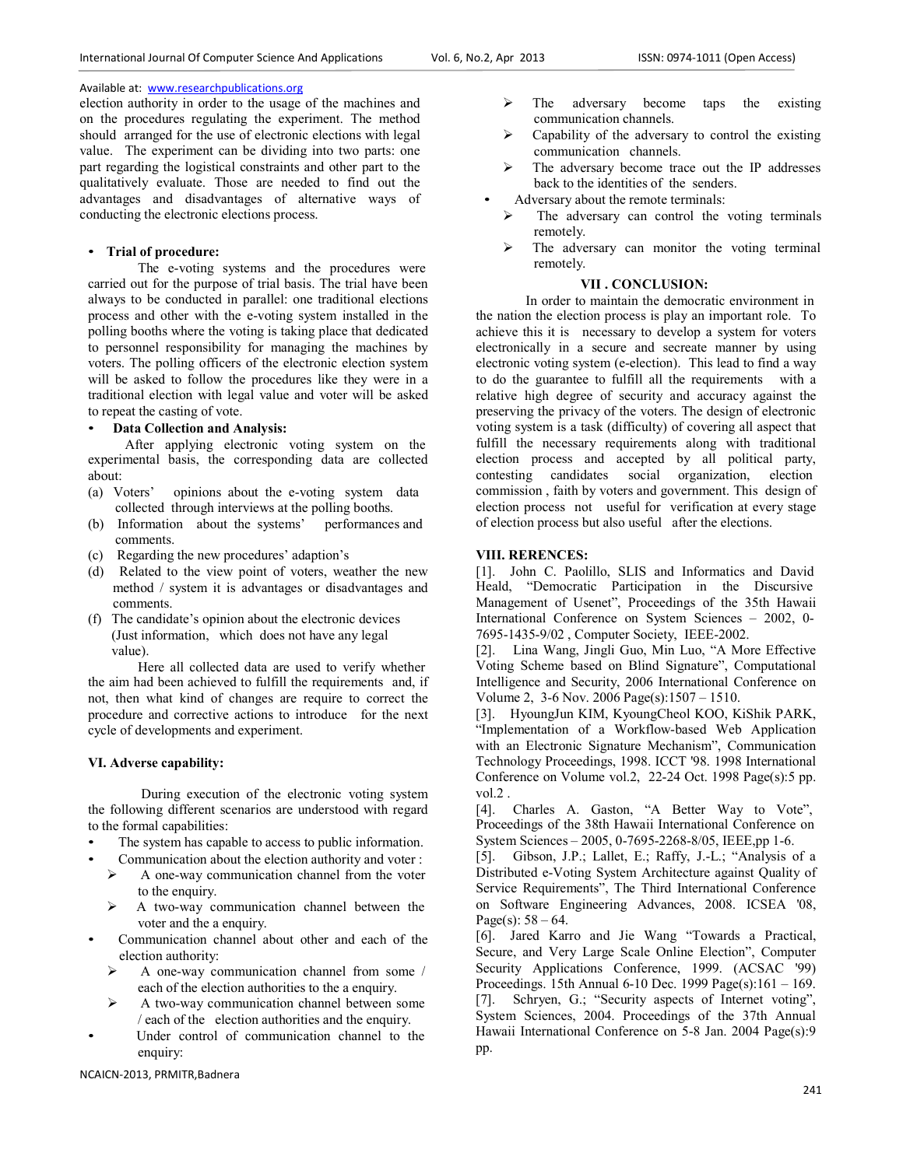election authority in order to the usage of the machines and on the procedures regulating the experiment. The method should arranged for the use of electronic elections with legal value. The experiment can be dividing into two parts: one part regarding the logistical constraints and other part to the qualitatively evaluate. Those are needed to find out the advantages and disadvantages of alternative ways of conducting the electronic elections process.

## • **Trial of procedure:**

The e-voting systems and the procedures were carried out for the purpose of trial basis. The trial have been always to be conducted in parallel: one traditional elections process and other with the e-voting system installed in the polling booths where the voting is taking place that dedicated to personnel responsibility for managing the machines by voters. The polling officers of the electronic election system will be asked to follow the procedures like they were in a traditional election with legal value and voter will be asked to repeat the casting of vote.

## • **Data Collection and Analysis:**

After applying electronic voting system on the experimental basis, the corresponding data are collected about:<br>(a) Voters'

- opinions about the e-voting system data collected through interviews at the polling booths.
- (b) Information about the systems' performances and comments.
- (c) Regarding the new procedures' adaption's
- (d) Related to the view point of voters, weather the new method / system it is advantages or disadvantages and comments.
- (f) The candidate's opinion about the electronic devices (Just information, which does not have any legal value).

Here all collected data are used to verify whether the aim had been achieved to fulfill the requirements and, if not, then what kind of changes are require to correct the procedure and corrective actions to introduce for the next cycle of developments and experiment.

## **VI. Adverse capability:**

During execution of the electronic voting system the following different scenarios are understood with regard to the formal capabilities:

- The system has capable to access to public information.
- Communication about the election authority and voter :<br>  $\geq$  A one-wav communication channel from the voter
	- A one-way communication channel from the voter to the enquiry.
	- $\triangleright$  A two-way communication channel between the voter and the a enquiry.
- Communication channel about other and each of the election authority:
	- $\triangleright$  A one-way communication channel from some / each of the election authorities to the a enquiry.
	- $\triangleright$  A two-way communication channel between some / each of the election authorities and the enquiry.
- Under control of communication channel to the enquiry:

NCAICN-2013, PRMITR,Badnera

- $\triangleright$  The adversary become taps the existing communication channels.
- Capability of the adversary to control the existing communication channels.
- The adversary become trace out the IP addresses back to the identities of the senders.
- Adversary about the remote terminals:
	- The adversary can control the voting terminals remotely.
	- The adversary can monitor the voting terminal remotely.

## **VII . CONCLUSION:**

In order to maintain the democratic environment in the nation the election process is play an important role. To achieve this it is necessary to develop a system for voters electronically in a secure and secreate manner by using electronic voting system (e-election). This lead to find a way to do the guarantee to fulfill all the requirements with a relative high degree of security and accuracy against the preserving the privacy of the voters. The design of electronic voting system is a task (difficulty) of covering all aspect that fulfill the necessary requirements along with traditional election process and accepted by all political party, contesting candidates social organization, election commission , faith by voters and government. This design of election process not useful for verification at every stage of election process but also useful after the elections.

#### **VIII. RERENCES:**

[1]. John C. Paolillo, SLIS and Informatics and David Heald, "Democratic Participation in the Discursive Management of Usenet", Proceedings of the 35th Hawaii International Conference on System Sciences – 2002, 0- 7695-1435-9/02 , Computer Society, IEEE-2002.

[2]. Lina Wang, Jingli Guo, Min Luo, "A More Effective Voting Scheme based on Blind Signature", Computational Intelligence and Security, 2006 International Conference on Volume 2, 3-6 Nov. 2006 Page(s):1507 – 1510.

[3]. HyoungJun KIM, KyoungCheol KOO, KiShik PARK, "Implementation of a Workflow-based Web Application with an Electronic Signature Mechanism", Communication Technology Proceedings, 1998. ICCT '98. 1998 International Conference on Volume vol.2, 22-24 Oct. 1998 Page(s):5 pp. vol.2 .

[4]. Charles A. Gaston, "A Better Way to Vote", Proceedings of the 38th Hawaii International Conference on System Sciences – 2005, 0-7695-2268-8/05, IEEE,pp 1-6.

[5]. Gibson, J.P.; Lallet, E.; Raffy, J.-L.; "Analysis of a Distributed e-Voting System Architecture against Quality of Service Requirements", The Third International Conference on Software Engineering Advances, 2008. ICSEA '08, Page(s):  $58 - 64$ .

[6]. Jared Karro and Jie Wang "Towards a Practical, Secure, and Very Large Scale Online Election", Computer Security Applications Conference, 1999. (ACSAC '99) Proceedings. 15th Annual 6-10 Dec. 1999 Page(s):161 – 169. [7]. Schryen, G.; "Security aspects of Internet voting", System Sciences, 2004. Proceedings of the 37th Annual Hawaii International Conference on 5-8 Jan. 2004 Page(s):9 pp.